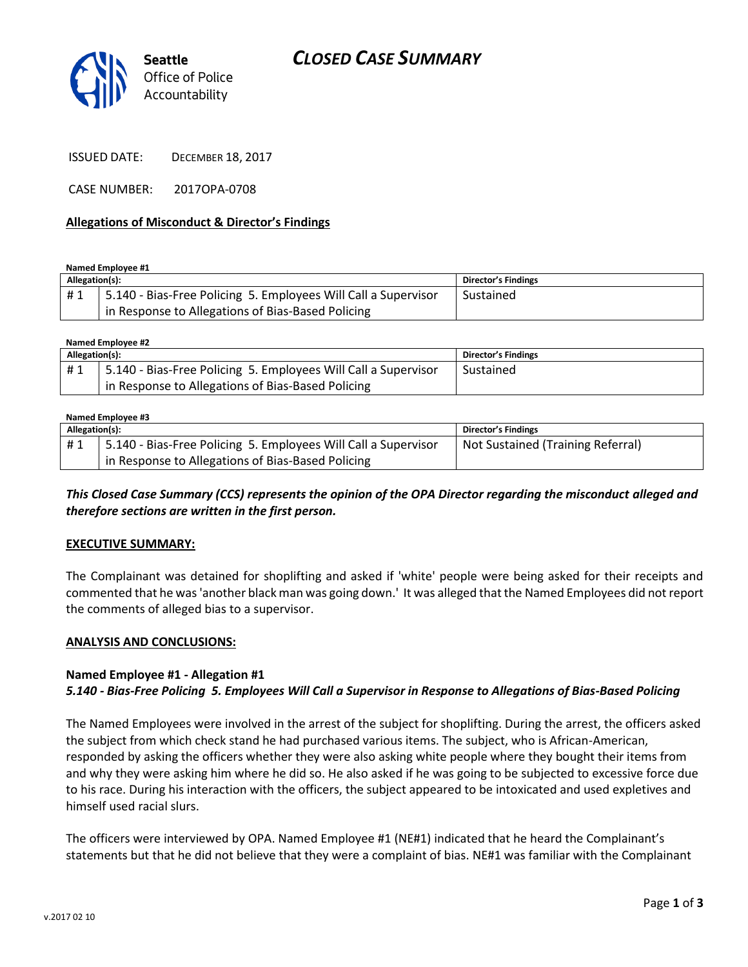# *CLOSED CASE SUMMARY*



ISSUED DATE: DECEMBER 18, 2017

CASE NUMBER: 2017OPA-0708

### **Allegations of Misconduct & Director's Findings**

**Named Employee #1**

| Allegation(s): |                                                                | Director's Findings |
|----------------|----------------------------------------------------------------|---------------------|
| #1             | 5.140 - Bias-Free Policing 5. Employees Will Call a Supervisor | Sustained           |
|                | I in Response to Allegations of Bias-Based Policing            |                     |

**Named Employee #2 Allegation(s): Director's Findings** # 1 | 5.140 - Bias-Free Policing 5. Employees Will Call a Supervisor in Response to Allegations of Bias-Based Policing Sustained

#### **Named Employee #3**

| Allegation(s): |                                                                | Director's Findings               |
|----------------|----------------------------------------------------------------|-----------------------------------|
| #1             | 5.140 - Bias-Free Policing 5. Employees Will Call a Supervisor | Not Sustained (Training Referral) |
|                | in Response to Allegations of Bias-Based Policing              |                                   |

*This Closed Case Summary (CCS) represents the opinion of the OPA Director regarding the misconduct alleged and therefore sections are written in the first person.* 

#### **EXECUTIVE SUMMARY:**

The Complainant was detained for shoplifting and asked if 'white' people were being asked for their receipts and commented that he was 'another black man was going down.' It was alleged that the Named Employees did not report the comments of alleged bias to a supervisor.

#### **ANALYSIS AND CONCLUSIONS:**

#### **Named Employee #1 - Allegation #1**

*5.140 - Bias-Free Policing 5. Employees Will Call a Supervisor in Response to Allegations of Bias-Based Policing*

The Named Employees were involved in the arrest of the subject for shoplifting. During the arrest, the officers asked the subject from which check stand he had purchased various items. The subject, who is African-American, responded by asking the officers whether they were also asking white people where they bought their items from and why they were asking him where he did so. He also asked if he was going to be subjected to excessive force due to his race. During his interaction with the officers, the subject appeared to be intoxicated and used expletives and himself used racial slurs.

The officers were interviewed by OPA. Named Employee #1 (NE#1) indicated that he heard the Complainant's statements but that he did not believe that they were a complaint of bias. NE#1 was familiar with the Complainant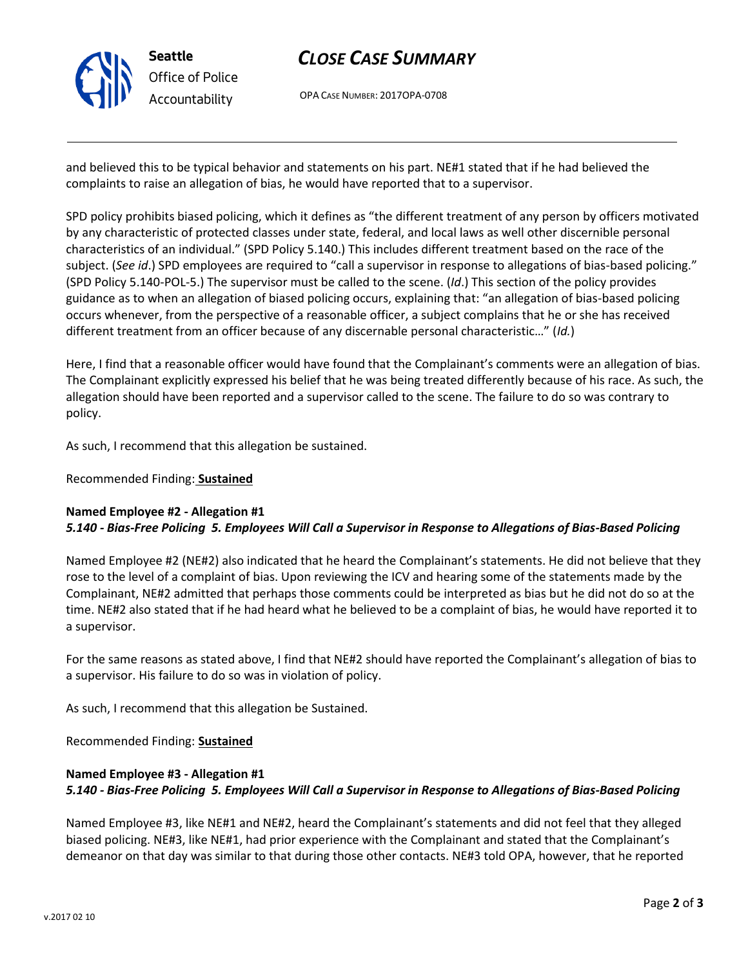

# *CLOSE CASE SUMMARY*

OPA CASE NUMBER: 2017OPA-0708

and believed this to be typical behavior and statements on his part. NE#1 stated that if he had believed the complaints to raise an allegation of bias, he would have reported that to a supervisor.

SPD policy prohibits biased policing, which it defines as "the different treatment of any person by officers motivated by any characteristic of protected classes under state, federal, and local laws as well other discernible personal characteristics of an individual." (SPD Policy 5.140.) This includes different treatment based on the race of the subject. (*See id*.) SPD employees are required to "call a supervisor in response to allegations of bias-based policing." (SPD Policy 5.140-POL-5.) The supervisor must be called to the scene. (*Id*.) This section of the policy provides guidance as to when an allegation of biased policing occurs, explaining that: "an allegation of bias-based policing occurs whenever, from the perspective of a reasonable officer, a subject complains that he or she has received different treatment from an officer because of any discernable personal characteristic…" (*Id.*)

Here, I find that a reasonable officer would have found that the Complainant's comments were an allegation of bias. The Complainant explicitly expressed his belief that he was being treated differently because of his race. As such, the allegation should have been reported and a supervisor called to the scene. The failure to do so was contrary to policy.

As such, I recommend that this allegation be sustained.

Recommended Finding: **Sustained**

### **Named Employee #2 - Allegation #1** *5.140 - Bias-Free Policing 5. Employees Will Call a Supervisor in Response to Allegations of Bias-Based Policing*

Named Employee #2 (NE#2) also indicated that he heard the Complainant's statements. He did not believe that they rose to the level of a complaint of bias. Upon reviewing the ICV and hearing some of the statements made by the Complainant, NE#2 admitted that perhaps those comments could be interpreted as bias but he did not do so at the time. NE#2 also stated that if he had heard what he believed to be a complaint of bias, he would have reported it to a supervisor.

For the same reasons as stated above, I find that NE#2 should have reported the Complainant's allegation of bias to a supervisor. His failure to do so was in violation of policy.

As such, I recommend that this allegation be Sustained.

Recommended Finding: **Sustained**

### **Named Employee #3 - Allegation #1** *5.140 - Bias-Free Policing 5. Employees Will Call a Supervisor in Response to Allegations of Bias-Based Policing*

Named Employee #3, like NE#1 and NE#2, heard the Complainant's statements and did not feel that they alleged biased policing. NE#3, like NE#1, had prior experience with the Complainant and stated that the Complainant's demeanor on that day was similar to that during those other contacts. NE#3 told OPA, however, that he reported